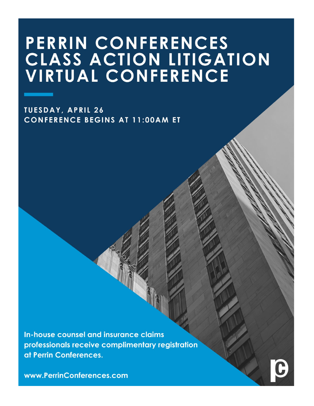# PERRIN CONFERENCES CLASS ACTION LITIGATION **VIRTUAL CONFERENCE**

**TUESDAY, APRIL 26 CONFERENCE BEGINS AT 11:00AM ET** 

In-house counsel and insurance claims professionals receive complimentary registration at Perrin Conferences.

www.PerrinConferences.com

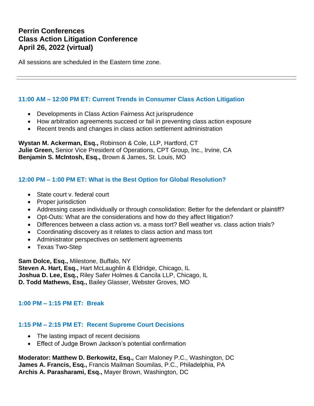## **Perrin Conferences Class Action Litigation Conference April 26, 2022 (virtual)**

All sessions are scheduled in the Eastern time zone.

#### **11:00 AM – 12:00 PM ET: Current Trends in Consumer Class Action Litigation**

- Developments in Class Action Fairness Act jurisprudence
- How arbitration agreements succeed or fail in preventing class action exposure
- Recent trends and changes in class action settlement administration

**Wystan M. Ackerman, Esq.,** Robinson & Cole, LLP, Hartford, CT **Julie Green,** Senior Vice President of Operations, CPT Group, Inc., Irvine, CA **Benjamin S. McIntosh, Esq.,** Brown & James, St. Louis, MO

#### **12:00 PM – 1:00 PM ET: What is the Best Option for Global Resolution?**

- State court v. federal court
- Proper jurisdiction
- Addressing cases individually or through consolidation: Better for the defendant or plaintiff?
- Opt-Outs: What are the considerations and how do they affect litigation?
- Differences between a class action vs. a mass tort? Bell weather vs. class action trials?
- Coordinating discovery as it relates to class action and mass tort
- Administrator perspectives on settlement agreements
- Texas Two-Step

**Sam Dolce, Esq.,** Milestone, Buffalo, NY **Steven A. Hart, Esq.,** Hart McLaughlin & Eldridge, Chicago, IL **Joshua D. Lee, Esq.,** Riley Safer Holmes & Cancila LLP, Chicago, IL **D. Todd Mathews, Esq.,** Bailey Glasser, Webster Groves, MO

#### **1:00 PM – 1:15 PM ET: Break**

## **1:15 PM – 2:15 PM ET: Recent Supreme Court Decisions**

- The lasting impact of recent decisions
- Effect of Judge Brown Jackson's potential confirmation

**Moderator: Matthew D. Berkowitz, Esq.,** Carr Maloney P.C., Washington, DC **James A. Francis, Esq.,** Francis Mailman Soumilas, P.C., Philadelphia, PA **Archis A. Parasharami, Esq.,** Mayer Brown, Washington, DC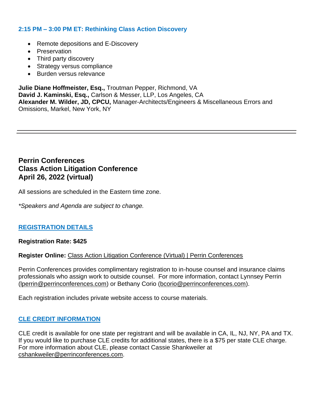#### **2:15 PM – 3:00 PM ET: Rethinking Class Action Discovery**

- Remote depositions and E-Discovery
- Preservation
- Third party discovery
- Strategy versus compliance
- Burden versus relevance

**Julie Diane Hoffmeister, Esq.,** Troutman Pepper, Richmond, VA **David J. Kaminski, Esq.,** Carlson & Messer, LLP, Los Angeles, CA **Alexander M. Wilder, JD, CPCU,** Manager-Architects/Engineers & Miscellaneous Errors and Omissions, Markel, New York, NY

## **Perrin Conferences Class Action Litigation Conference April 26, 2022 (virtual)**

All sessions are scheduled in the Eastern time zone.

*\*Speakers and Agenda are subject to change.*

#### **REGISTRATION DETAILS**

#### **Registration Rate: \$425**

#### **Register Online:** [Class Action Litigation Conference \(Virtual\) | Perrin Conferences](https://www.perrinconferences.com/conferences/class-action-litigation-conference-virtual/)

Perrin Conferences provides complimentary registration to in-house counsel and insurance claims professionals who assign work to outside counsel. For more information, contact Lynnsey Perrin [\(lperrin@perrinconferences.com\)](mailto:lperrin@perrinconferences.com) or Bethany Corio [\(bcorio@perrinconferences.com\)](mailto:bcorio@perrinconferences.com).

Each registration includes private website access to course materials.

#### **CLE CREDIT INFORMATION**

CLE credit is available for one state per registrant and will be available in CA, IL, NJ, NY, PA and TX. If you would like to purchase CLE credits for additional states, there is a \$75 per state CLE charge. For more information about CLE, please contact Cassie Shankweiler at [cshankweiler@perrinconferences.com.](mailto:cshankweiler@perrinconferences.com)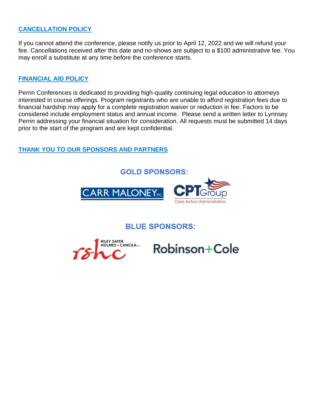### **CANCELLATION POLICY**

If you cannot attend the conference, please notify us prior to April 12, 2022 and we will refund your fee. Cancellations received after this date and no-shows are subject to a \$100 administrative fee. You may enroll a substitute at any time before the conference starts.

#### **FINANCIAL AID POLICY**

Perrin Conferences is dedicated to providing high-quality continuing legal education to attorneys interested in course offerings. Program registrants who are unable to afford registration fees due to financial hardship may apply for a complete registration waiver or reduction in fee. Factors to be considered include employment status and annual income. Please send a written letter to Lynnsey Perrin addressing your financial situation for consideration. All requests must be submitted 14 days prior to the start of the program and are kept confidential.

## **THANK YOU TO OUR SPONSORS AND PARTNERS**

**GOLD SPONSORS:** 



**BLUE SPONSORS:** 



**Robinson+Cole**